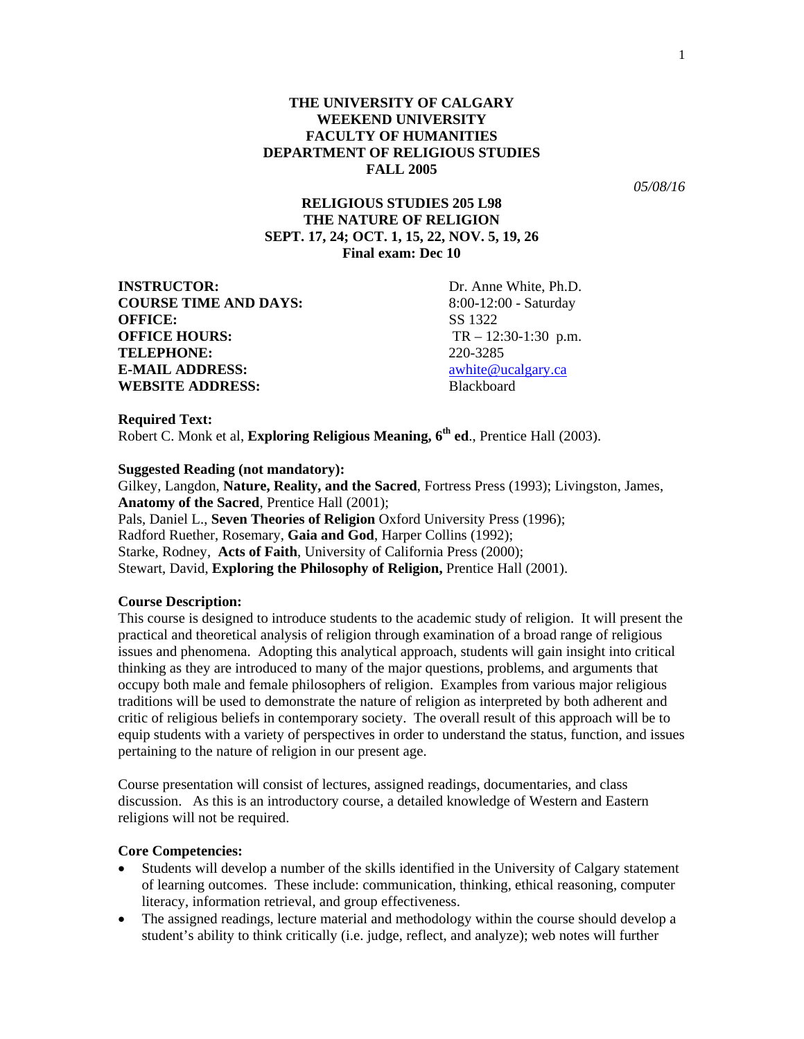*05/08/16* 

# **RELIGIOUS STUDIES 205 L98 THE NATURE OF RELIGION SEPT. 17, 24; OCT. 1, 15, 22, NOV. 5, 19, 26 Final exam: Dec 10**

**INSTRUCTOR:** Dr. Anne White, Ph.D. **COURSE TIME AND DAYS:** 8:00-12:00 - Saturday **OFFICE:** SS 1322 **OFFICE HOURS:** TR – 12:30-1:30 p.m. **TELEPHONE:** 220-3285 **E-MAIL ADDRESS:** awhite@ucalgary.ca **WEBSITE ADDRESS:** Blackboard

**Required Text:**  Robert C. Monk et al, **Exploring Religious Meaning, 6th ed**., Prentice Hall (2003).

## **Suggested Reading (not mandatory):**

Gilkey, Langdon, **Nature, Reality, and the Sacred**, Fortress Press (1993); Livingston, James, **Anatomy of the Sacred**, Prentice Hall (2001); Pals, Daniel L., **Seven Theories of Religion** Oxford University Press (1996); Radford Ruether, Rosemary, **Gaia and God**, Harper Collins (1992); Starke, Rodney, **Acts of Faith**, University of California Press (2000); Stewart, David, **Exploring the Philosophy of Religion,** Prentice Hall (2001).

### **Course Description:**

This course is designed to introduce students to the academic study of religion. It will present the practical and theoretical analysis of religion through examination of a broad range of religious issues and phenomena. Adopting this analytical approach, students will gain insight into critical thinking as they are introduced to many of the major questions, problems, and arguments that occupy both male and female philosophers of religion. Examples from various major religious traditions will be used to demonstrate the nature of religion as interpreted by both adherent and critic of religious beliefs in contemporary society. The overall result of this approach will be to equip students with a variety of perspectives in order to understand the status, function, and issues pertaining to the nature of religion in our present age.

Course presentation will consist of lectures, assigned readings, documentaries, and class discussion. As this is an introductory course, a detailed knowledge of Western and Eastern religions will not be required.

## **Core Competencies:**

- Students will develop a number of the skills identified in the University of Calgary statement of learning outcomes. These include: communication, thinking, ethical reasoning, computer literacy, information retrieval, and group effectiveness.
- The assigned readings, lecture material and methodology within the course should develop a student's ability to think critically (i.e. judge, reflect, and analyze); web notes will further

1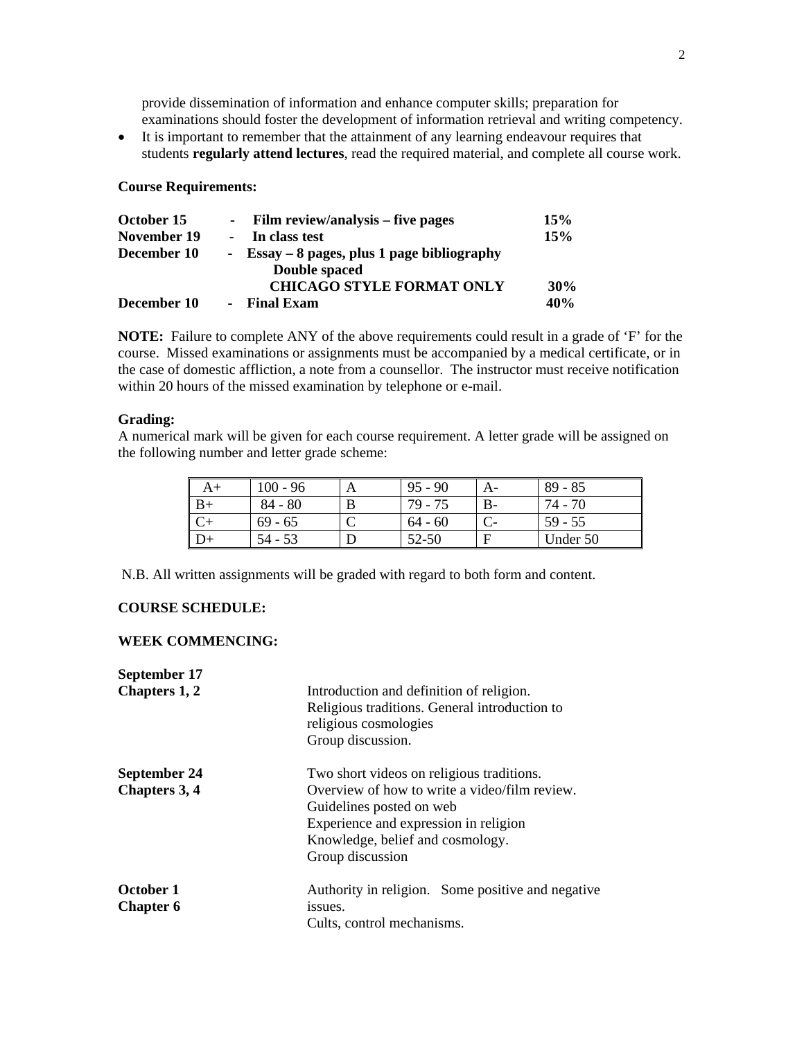provide dissemination of information and enhance computer skills; preparation for examinations should foster the development of information retrieval and writing competency.

• It is important to remember that the attainment of any learning endeavour requires that students **regularly attend lectures**, read the required material, and complete all course work.

## **Course Requirements:**

| October 15  | - Film review/analysis – five pages          | 15% |
|-------------|----------------------------------------------|-----|
| November 19 | In class test                                | 15% |
| December 10 | - Essay $-8$ pages, plus 1 page bibliography |     |
|             | Double spaced                                |     |
|             | <b>CHICAGO STYLE FORMAT ONLY</b>             | 30% |
| December 10 | <b>Final Exam</b>                            | 40% |

**NOTE:** Failure to complete ANY of the above requirements could result in a grade of 'F' for the course. Missed examinations or assignments must be accompanied by a medical certificate, or in the case of domestic affliction, a note from a counsellor. The instructor must receive notification within 20 hours of the missed examination by telephone or e-mail.

#### **Grading:**

A numerical mark will be given for each course requirement. A letter grade will be assigned on the following number and letter grade scheme:

| A+   | $100 - 96$ |   | $95 - 90$ |    | $89 - 85$ |
|------|------------|---|-----------|----|-----------|
| $B+$ | $84 - 80$  | B | 79 - 75   | B- | 74 - 70   |
|      | $69 - 65$  |   | $64 - 60$ |    | $59 - 55$ |
|      | 54 - 53    |   | 52-50     |    | Under 50  |

N.B. All written assignments will be graded with regard to both form and content.

## **COURSE SCHEDULE:**

### **WEEK COMMENCING:**

| September 17                  |                                                                                                                                                                            |
|-------------------------------|----------------------------------------------------------------------------------------------------------------------------------------------------------------------------|
| Chapters 1, 2                 | Introduction and definition of religion.<br>Religious traditions. General introduction to<br>religious cosmologies<br>Group discussion.                                    |
| September 24                  | Two short videos on religious traditions.                                                                                                                                  |
| <b>Chapters 3, 4</b>          | Overview of how to write a video/film review.<br>Guidelines posted on web<br>Experience and expression in religion<br>Knowledge, belief and cosmology.<br>Group discussion |
| October 1<br><b>Chapter 6</b> | Authority in religion. Some positive and negative<br>issues.<br>Cults, control mechanisms.                                                                                 |